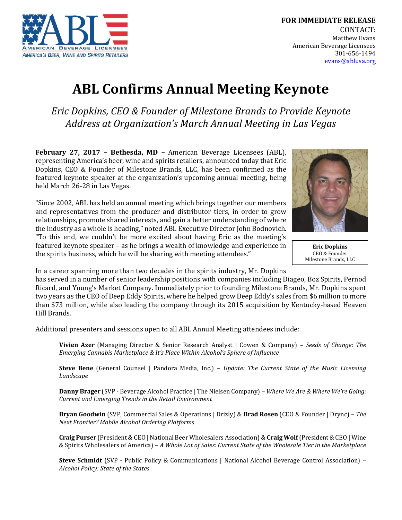

## **ABL Confirms Annual Meeting Keynote**

*Eric Dopkins, CEO & Founder of Milestone Brands to Provide Keynote Address at Organization's March Annual Meeting in Las Vegas*

**February 27, 2017 – Bethesda, MD –** American Beverage Licensees (ABL), representing America's beer, wine and spirits retailers, announced today that Eric Dopkins, CEO & Founder of Milestone Brands, LLC, has been confirmed as the featured keynote speaker at the organization's upcoming annual meeting, being held March 26-28 in Las Vegas.

"Since 2002, ABL has held an annual meeting which brings together our members and representatives from the producer and distributor tiers, in order to grow relationships, promote shared interests, and gain a better understanding of where the industry as a whole is heading," noted ABL Executive Director John Bodnovich. "To this end, we couldn't be more excited about having Eric as the meeting's featured keynote speaker – as he brings a wealth of knowledge and experience in the spirits business, which he will be sharing with meeting attendees."



**Eric Dopkins** CEO & Founder Milestone Brands, LLC

In a career spanning more than two decades in the spirits industry, Mr. Dopkins

has served in a number of senior leadership positions with companies including Diageo, Boz Spirits, Pernod Ricard, and Young's Market Company. Immediately prior to founding Milestone Brands, Mr. Dopkins spent two years as the CEO of Deep Eddy Spirits, where he helped grow Deep Eddy's sales from \$6 million to more than \$73 million, while also leading the company through its 2015 acquisition by Kentucky-based Heaven Hill Brands.

Additional presenters and sessions open to all ABL Annual Meeting attendees include:

**Vivien Azer** (Managing Director & Senior Research Analyst | Cowen & Company) – *Seeds of Change: The Emerging Cannabis Marketplace & It's Place Within Alcohol's Sphere of Influence*

**Steve Bene** (General Counsel | Pandora Media, Inc.) – *Update: The Current State of the Music Licensing Landscape*

**Danny Brager** (SVP - Beverage Alcohol Practice | The Nielsen Company) *– Where We Are & Where We're Going: Current and Emerging Trends in the Retail Environment*

**Bryan Goodwin** (SVP, Commercial Sales & Operations | Drizly) & **Brad Rosen** (CEO & Founder | Drync) – *The Next Frontier? Mobile Alcohol Ordering Platforms*

**Craig Purser** (President & CEO | National Beer Wholesalers Association) & **Craig Wolf**(President & CEO | Wine & Spirits Wholesalers of America) – *A Whole Lot of Sales: Current State of the Wholesale Tier in the Marketplace*

**Steve Schmidt** (SVP - Public Policy & Communications | National Alcohol Beverage Control Association) – *Alcohol Policy: State of the States*